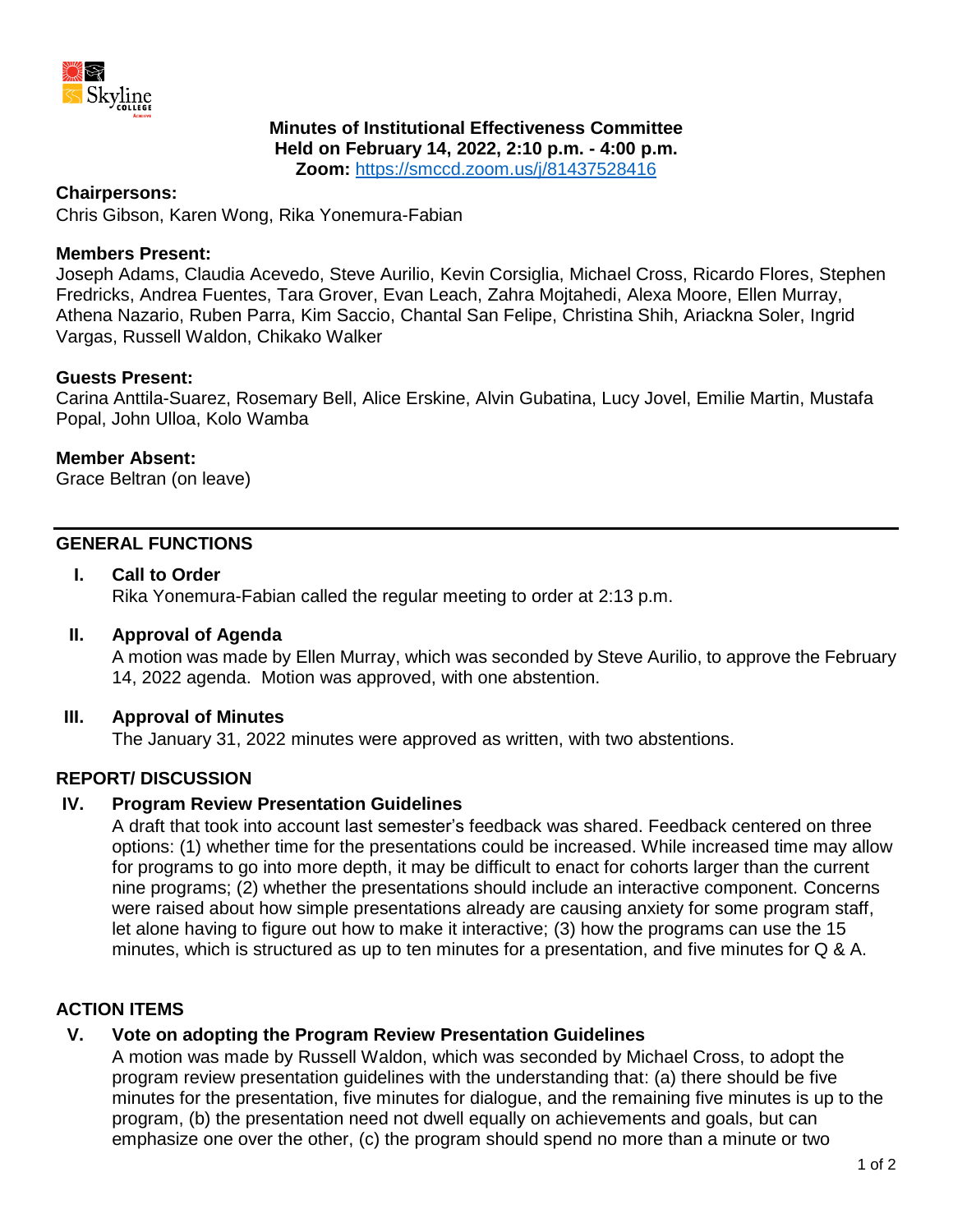

# **Minutes of Institutional Effectiveness Committee**

**Held on February 14, 2022, 2:10 p.m. - 4:00 p.m.**

**Zoom:** <https://smccd.zoom.us/j/81437528416>

#### **Chairpersons:**

Chris Gibson, Karen Wong, Rika Yonemura-Fabian

### **Members Present:**

Joseph Adams, Claudia Acevedo, Steve Aurilio, Kevin Corsiglia, Michael Cross, Ricardo Flores, Stephen Fredricks, Andrea Fuentes, Tara Grover, Evan Leach, Zahra Mojtahedi, Alexa Moore, Ellen Murray, Athena Nazario, Ruben Parra, Kim Saccio, Chantal San Felipe, Christina Shih, Ariackna Soler, Ingrid Vargas, Russell Waldon, Chikako Walker

# **Guests Present:**

Carina Anttila-Suarez, Rosemary Bell, Alice Erskine, Alvin Gubatina, Lucy Jovel, Emilie Martin, Mustafa Popal, John Ulloa, Kolo Wamba

#### **Member Absent:**

Grace Beltran (on leave)

### **GENERAL FUNCTIONS**

# **I. Call to Order**

Rika Yonemura-Fabian called the regular meeting to order at 2:13 p.m.

#### **II. Approval of Agenda**

A motion was made by Ellen Murray, which was seconded by Steve Aurilio, to approve the February 14, 2022 agenda. Motion was approved, with one abstention.

# **III. Approval of Minutes**

The January 31, 2022 minutes were approved as written, with two abstentions.

# **REPORT/ DISCUSSION**

### **IV. Program Review Presentation Guidelines**

A draft that took into account last semester's feedback was shared. Feedback centered on three options: (1) whether time for the presentations could be increased. While increased time may allow for programs to go into more depth, it may be difficult to enact for cohorts larger than the current nine programs; (2) whether the presentations should include an interactive component. Concerns were raised about how simple presentations already are causing anxiety for some program staff, let alone having to figure out how to make it interactive; (3) how the programs can use the 15 minutes, which is structured as up to ten minutes for a presentation, and five minutes for Q & A.

# **ACTION ITEMS**

# **V. Vote on adopting the Program Review Presentation Guidelines**

A motion was made by Russell Waldon, which was seconded by Michael Cross, to adopt the program review presentation guidelines with the understanding that: (a) there should be five minutes for the presentation, five minutes for dialogue, and the remaining five minutes is up to the program, (b) the presentation need not dwell equally on achievements and goals, but can emphasize one over the other, (c) the program should spend no more than a minute or two